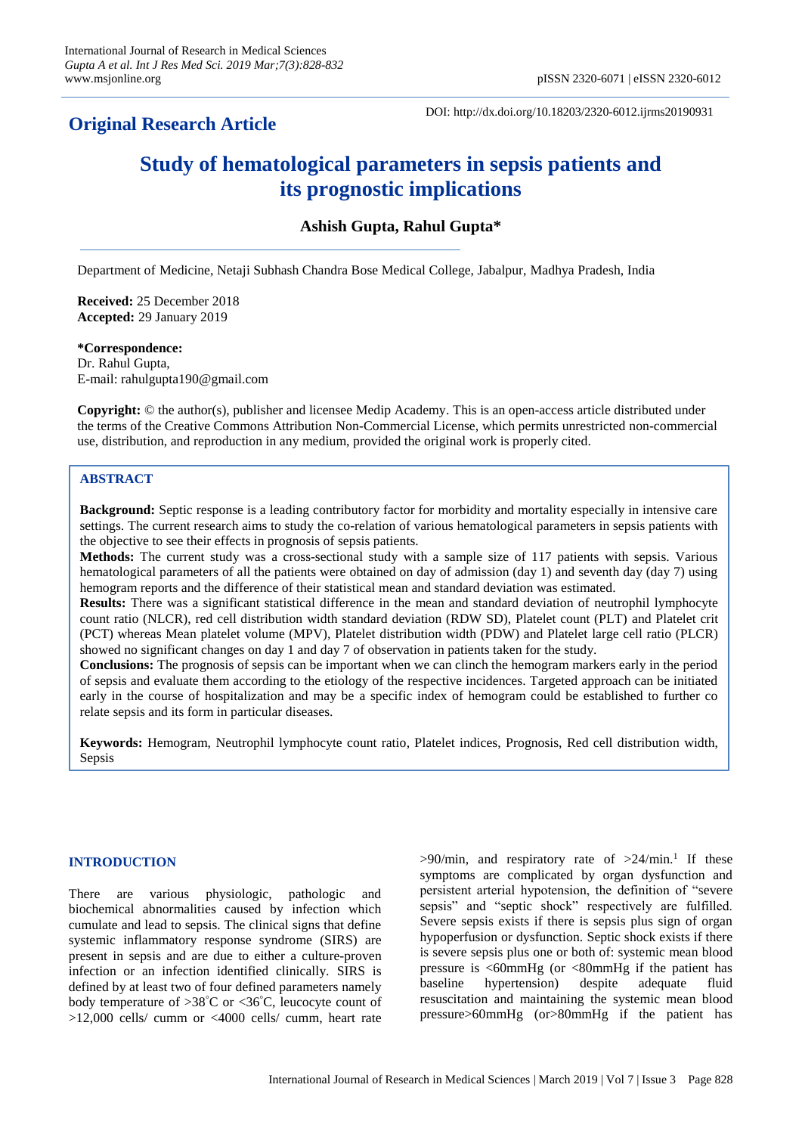# **Original Research Article**

DOI: http://dx.doi.org/10.18203/2320-6012.ijrms20190931

# **Study of hematological parameters in sepsis patients and its prognostic implications**

# **Ashish Gupta, Rahul Gupta\***

Department of Medicine, Netaji Subhash Chandra Bose Medical College, Jabalpur, Madhya Pradesh, India

**Received:** 25 December 2018 **Accepted:** 29 January 2019

**\*Correspondence:** Dr. Rahul Gupta,

E-mail: rahulgupta190@gmail.com

**Copyright:** © the author(s), publisher and licensee Medip Academy. This is an open-access article distributed under the terms of the Creative Commons Attribution Non-Commercial License, which permits unrestricted non-commercial use, distribution, and reproduction in any medium, provided the original work is properly cited.

#### **ABSTRACT**

**Background:** Septic response is a leading contributory factor for morbidity and mortality especially in intensive care settings. The current research aims to study the co-relation of various hematological parameters in sepsis patients with the objective to see their effects in prognosis of sepsis patients.

**Methods:** The current study was a cross-sectional study with a sample size of 117 patients with sepsis. Various hematological parameters of all the patients were obtained on day of admission (day 1) and seventh day (day 7) using hemogram reports and the difference of their statistical mean and standard deviation was estimated.

**Results:** There was a significant statistical difference in the mean and standard deviation of neutrophil lymphocyte count ratio (NLCR), red cell distribution width standard deviation (RDW SD), Platelet count (PLT) and Platelet crit (PCT) whereas Mean platelet volume (MPV), Platelet distribution width (PDW) and Platelet large cell ratio (PLCR) showed no significant changes on day 1 and day 7 of observation in patients taken for the study.

**Conclusions:** The prognosis of sepsis can be important when we can clinch the hemogram markers early in the period of sepsis and evaluate them according to the etiology of the respective incidences. Targeted approach can be initiated early in the course of hospitalization and may be a specific index of hemogram could be established to further co relate sepsis and its form in particular diseases.

**Keywords:** Hemogram, Neutrophil lymphocyte count ratio, Platelet indices, Prognosis, Red cell distribution width, Sepsis

#### **INTRODUCTION**

There are various physiologic, pathologic and biochemical abnormalities caused by infection which cumulate and lead to sepsis. The clinical signs that define systemic inflammatory response syndrome (SIRS) are present in sepsis and are due to either a culture-proven infection or an infection identified clinically. SIRS is defined by at least two of four defined parameters namely body temperature of  $>38^{\circ}$ C or  $<36^{\circ}$ C, leucocyte count of >12,000 cells/ cumm or <4000 cells/ cumm, heart rate

 $>90$ /min, and respiratory rate of  $>24$ /min.<sup>1</sup> If these symptoms are complicated by organ dysfunction and persistent arterial hypotension, the definition of "severe sepsis" and "septic shock" respectively are fulfilled. Severe sepsis exists if there is sepsis plus sign of organ hypoperfusion or dysfunction. Septic shock exists if there is severe sepsis plus one or both of: systemic mean blood pressure is <60mmHg (or <80mmHg if the patient has baseline hypertension) despite adequate fluid resuscitation and maintaining the systemic mean blood pressure>60mmHg (or>80mmHg if the patient has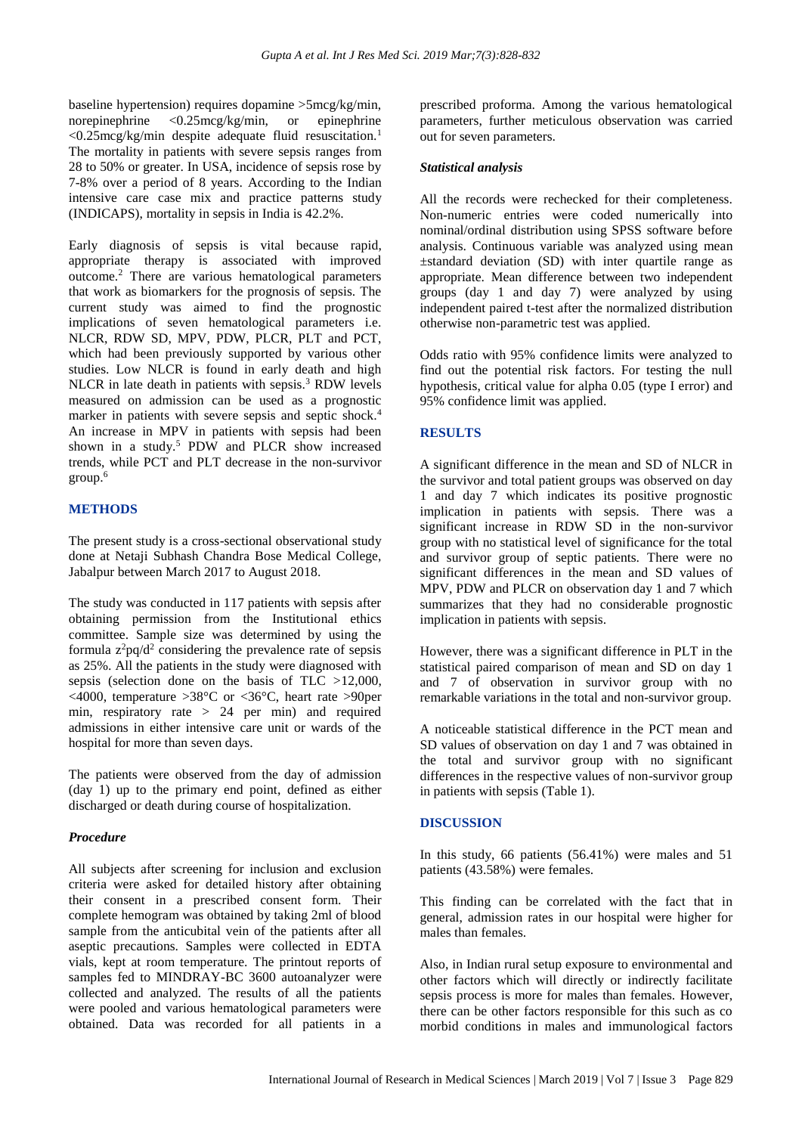baseline hypertension) requires dopamine >5mcg/kg/min, norepinephrine <0.25mcg/kg/min, or epinephrine  $\langle 0.25 \text{mcg/kg/min}$  despite adequate fluid resuscitation.<sup>1</sup> The mortality in patients with severe sepsis ranges from 28 to 50% or greater. In USA, incidence of sepsis rose by 7-8% over a period of 8 years. According to the Indian intensive care case mix and practice patterns study (INDICAPS), mortality in sepsis in India is 42.2%.

Early diagnosis of sepsis is vital because rapid, appropriate therapy is associated with improved outcome.<sup>2</sup> There are various hematological parameters that work as biomarkers for the prognosis of sepsis. The current study was aimed to find the prognostic implications of seven hematological parameters i.e. NLCR, RDW SD, MPV, PDW, PLCR, PLT and PCT, which had been previously supported by various other studies. Low NLCR is found in early death and high NLCR in late death in patients with sepsis.<sup>3</sup> RDW levels measured on admission can be used as a prognostic marker in patients with severe sepsis and septic shock.<sup>4</sup> An increase in MPV in patients with sepsis had been shown in a study.<sup>5</sup> PDW and PLCR show increased trends, while PCT and PLT decrease in the non-survivor group.<sup>6</sup>

### **METHODS**

The present study is a cross-sectional observational study done at Netaji Subhash Chandra Bose Medical College, Jabalpur between March 2017 to August 2018.

The study was conducted in 117 patients with sepsis after obtaining permission from the Institutional ethics committee. Sample size was determined by using the formula  $z^2pq/d^2$  considering the prevalence rate of sepsis as 25%. All the patients in the study were diagnosed with sepsis (selection done on the basis of TLC >12,000, <4000, temperature >38°C or <36°C, heart rate >90per min, respiratory rate > 24 per min) and required admissions in either intensive care unit or wards of the hospital for more than seven days.

The patients were observed from the day of admission (day 1) up to the primary end point, defined as either discharged or death during course of hospitalization.

#### *Procedure*

All subjects after screening for inclusion and exclusion criteria were asked for detailed history after obtaining their consent in a prescribed consent form. Their complete hemogram was obtained by taking 2ml of blood sample from the anticubital vein of the patients after all aseptic precautions. Samples were collected in EDTA vials, kept at room temperature. The printout reports of samples fed to MINDRAY-BC 3600 autoanalyzer were collected and analyzed. The results of all the patients were pooled and various hematological parameters were obtained. Data was recorded for all patients in a prescribed proforma. Among the various hematological parameters, further meticulous observation was carried out for seven parameters.

#### *Statistical analysis*

All the records were rechecked for their completeness. Non-numeric entries were coded numerically into nominal/ordinal distribution using SPSS software before analysis. Continuous variable was analyzed using mean ±standard deviation (SD) with inter quartile range as appropriate. Mean difference between two independent groups (day 1 and day 7) were analyzed by using independent paired t-test after the normalized distribution otherwise non-parametric test was applied.

Odds ratio with 95% confidence limits were analyzed to find out the potential risk factors. For testing the null hypothesis, critical value for alpha 0.05 (type I error) and 95% confidence limit was applied.

### **RESULTS**

A significant difference in the mean and SD of NLCR in the survivor and total patient groups was observed on day 1 and day 7 which indicates its positive prognostic implication in patients with sepsis. There was a significant increase in RDW SD in the non-survivor group with no statistical level of significance for the total and survivor group of septic patients. There were no significant differences in the mean and SD values of MPV, PDW and PLCR on observation day 1 and 7 which summarizes that they had no considerable prognostic implication in patients with sepsis.

However, there was a significant difference in PLT in the statistical paired comparison of mean and SD on day 1 and 7 of observation in survivor group with no remarkable variations in the total and non-survivor group.

A noticeable statistical difference in the PCT mean and SD values of observation on day 1 and 7 was obtained in the total and survivor group with no significant differences in the respective values of non-survivor group in patients with sepsis (Table 1).

# **DISCUSSION**

In this study, 66 patients (56.41%) were males and 51 patients (43.58%) were females.

This finding can be correlated with the fact that in general, admission rates in our hospital were higher for males than females.

Also, in Indian rural setup exposure to environmental and other factors which will directly or indirectly facilitate sepsis process is more for males than females. However, there can be other factors responsible for this such as co morbid conditions in males and immunological factors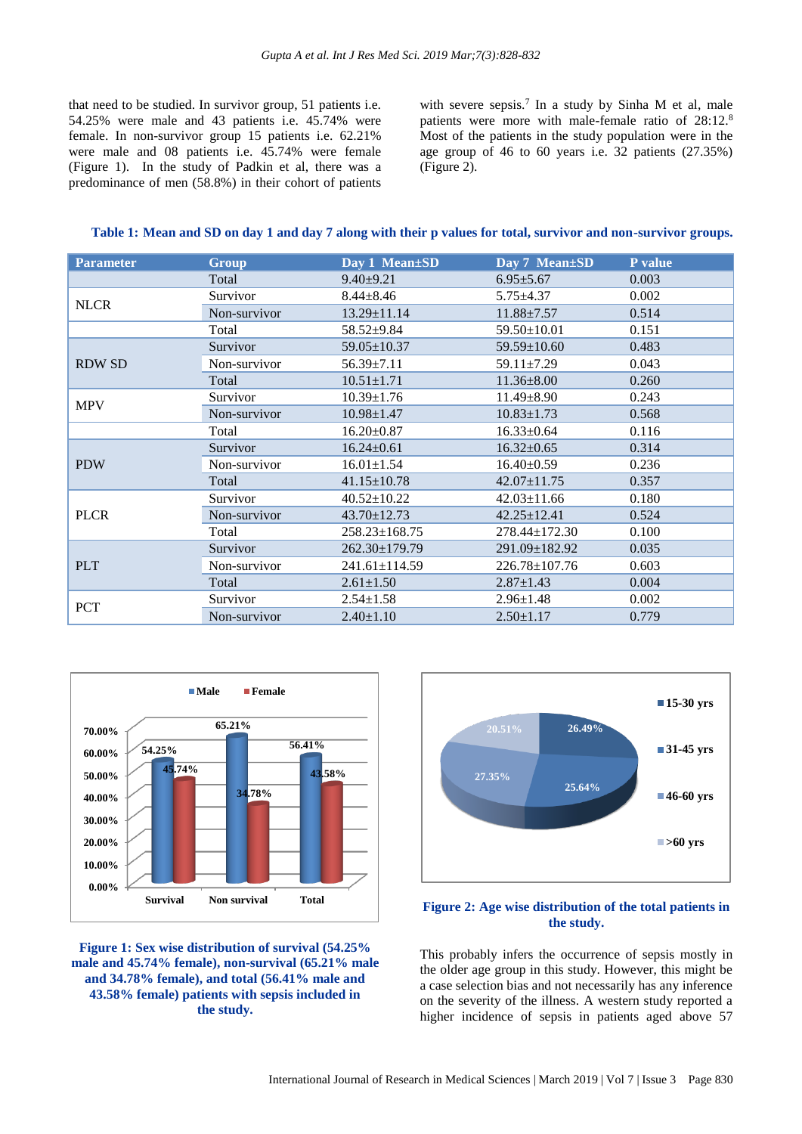that need to be studied. In survivor group, 51 patients i.e. 54.25% were male and 43 patients i.e. 45.74% were female. In non-survivor group 15 patients i.e. 62.21% were male and 08 patients i.e. 45.74% were female (Figure 1). In the study of Padkin et al, there was a predominance of men (58.8%) in their cohort of patients

with severe sepsis.<sup>7</sup> In a study by Sinha M et al, male patients were more with male-female ratio of 28:12.<sup>8</sup> Most of the patients in the study population were in the age group of 46 to 60 years i.e. 32 patients (27.35%) (Figure 2).

#### **Table 1: Mean and SD on day 1 and day 7 along with their p values for total, survivor and non-survivor groups.**

| <b>Parameter</b> | Group        | Day 1 Mean±SD       | Day 7 Mean±SD       | P value |
|------------------|--------------|---------------------|---------------------|---------|
|                  | Total        | $9.40 \pm 9.21$     | $6.95 \pm 5.67$     | 0.003   |
| <b>NLCR</b>      | Survivor     | $8.44 \pm 8.46$     | $5.75 \pm 4.37$     | 0.002   |
|                  | Non-survivor | $13.29 \pm 11.14$   | $11.88 \pm 7.57$    | 0.514   |
|                  | Total        | $58.52 \pm 9.84$    | $59.50 \pm 10.01$   | 0.151   |
| <b>RDW SD</b>    | Survivor     | $59.05 \pm 10.37$   | $59.59 \pm 10.60$   | 0.483   |
|                  | Non-survivor | $56.39 \pm 7.11$    | $59.11 \pm 7.29$    | 0.043   |
|                  | Total        | $10.51 \pm 1.71$    | $11.36 \pm 8.00$    | 0.260   |
| <b>MPV</b>       | Survivor     | $10.39 \pm 1.76$    | $11.49 \pm 8.90$    | 0.243   |
|                  | Non-survivor | $10.98 \pm 1.47$    | $10.83 \pm 1.73$    | 0.568   |
|                  | Total        | $16.20 \pm 0.87$    | $16.33 \pm 0.64$    | 0.116   |
| <b>PDW</b>       | Survivor     | $16.24 \pm 0.61$    | $16.32 \pm 0.65$    | 0.314   |
|                  | Non-survivor | $16.01 \pm 1.54$    | $16.40 \pm 0.59$    | 0.236   |
|                  | Total        | $41.15 \pm 10.78$   | $42.07 \pm 11.75$   | 0.357   |
| <b>PLCR</b>      | Survivor     | $40.52 \pm 10.22$   | $42.03 \pm 11.66$   | 0.180   |
|                  | Non-survivor | $43.70 \pm 12.73$   | $42.25 \pm 12.41$   | 0.524   |
|                  | Total        | $258.23 \pm 168.75$ | $278.44 \pm 172.30$ | 0.100   |
| <b>PLT</b>       | Survivor     | 262.30±179.79       | 291.09±182.92       | 0.035   |
|                  | Non-survivor | 241.61±114.59       | 226.78±107.76       | 0.603   |
|                  | Total        | $2.61 \pm 1.50$     | $2.87 \pm 1.43$     | 0.004   |
| <b>PCT</b>       | Survivor     | $2.54 \pm 1.58$     | $2.96 \pm 1.48$     | 0.002   |
|                  | Non-survivor | $2.40 \pm 1.10$     | $2.50 \pm 1.17$     | 0.779   |







## **Figure 2: Age wise distribution of the total patients in the study.**

This probably infers the occurrence of sepsis mostly in the older age group in this study. However, this might be a case selection bias and not necessarily has any inference on the severity of the illness. A western study reported a higher incidence of sepsis in patients aged above 57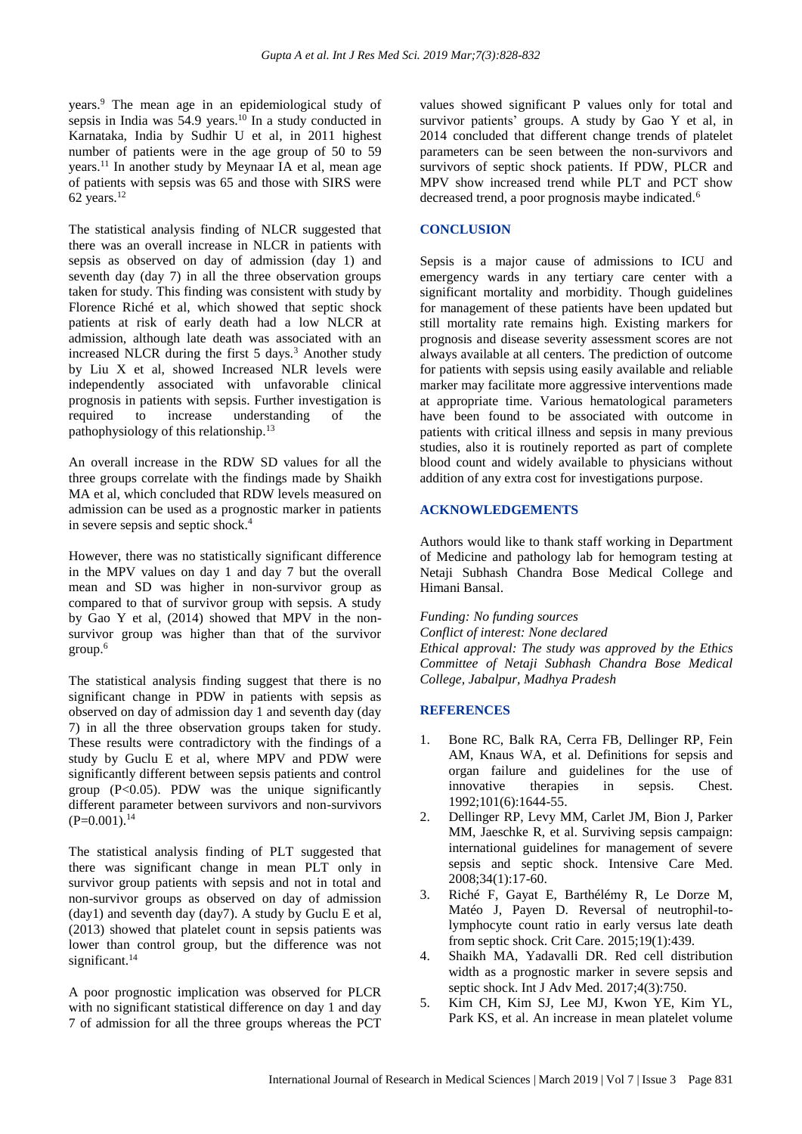years.<sup>9</sup> The mean age in an epidemiological study of sepsis in India was  $54.9$  years.<sup>10</sup> In a study conducted in Karnataka, India by Sudhir U et al, in 2011 highest number of patients were in the age group of 50 to 59 years.<sup>11</sup> In another study by Meynaar IA et al, mean age of patients with sepsis was 65 and those with SIRS were 62 years.<sup>12</sup>

The statistical analysis finding of NLCR suggested that there was an overall increase in NLCR in patients with sepsis as observed on day of admission (day 1) and seventh day (day 7) in all the three observation groups taken for study. This finding was consistent with study by Florence Riché et al, which showed that septic shock patients at risk of early death had a low NLCR at admission, although late death was associated with an increased NLCR during the first  $5 \text{ days}$ .<sup>3</sup> Another study by Liu X et al, showed Increased NLR levels were independently associated with unfavorable clinical prognosis in patients with sepsis. Further investigation is required to increase understanding of the pathophysiology of this relationship.<sup>13</sup>

An overall increase in the RDW SD values for all the three groups correlate with the findings made by Shaikh MA et al, which concluded that RDW levels measured on admission can be used as a prognostic marker in patients in severe sepsis and septic shock.<sup>4</sup>

However, there was no statistically significant difference in the MPV values on day 1 and day 7 but the overall mean and SD was higher in non-survivor group as compared to that of survivor group with sepsis. A study by Gao Y et al, (2014) showed that MPV in the nonsurvivor group was higher than that of the survivor group.<sup>6</sup>

The statistical analysis finding suggest that there is no significant change in PDW in patients with sepsis as observed on day of admission day 1 and seventh day (day 7) in all the three observation groups taken for study. These results were contradictory with the findings of a study by Guclu E et al, where MPV and PDW were significantly different between sepsis patients and control group  $(P<0.05)$ . PDW was the unique significantly different parameter between survivors and non-survivors  $(P=0.001)$ .<sup>14</sup>

The statistical analysis finding of PLT suggested that there was significant change in mean PLT only in survivor group patients with sepsis and not in total and non-survivor groups as observed on day of admission  $(day1)$  and seventh day  $(day7)$ . A study by Guclu E et al, (2013) showed that platelet count in sepsis patients was lower than control group, but the difference was not significant.<sup>14</sup>

A poor prognostic implication was observed for PLCR with no significant statistical difference on day 1 and day 7 of admission for all the three groups whereas the PCT values showed significant P values only for total and survivor patients' groups. A study by Gao Y et al, in 2014 concluded that different change trends of platelet parameters can be seen between the non-survivors and survivors of septic shock patients. If PDW, PLCR and MPV show increased trend while PLT and PCT show decreased trend, a poor prognosis maybe indicated.<sup>6</sup>

#### **CONCLUSION**

Sepsis is a major cause of admissions to ICU and emergency wards in any tertiary care center with a significant mortality and morbidity. Though guidelines for management of these patients have been updated but still mortality rate remains high. Existing markers for prognosis and disease severity assessment scores are not always available at all centers. The prediction of outcome for patients with sepsis using easily available and reliable marker may facilitate more aggressive interventions made at appropriate time. Various hematological parameters have been found to be associated with outcome in patients with critical illness and sepsis in many previous studies, also it is routinely reported as part of complete blood count and widely available to physicians without addition of any extra cost for investigations purpose.

#### **ACKNOWLEDGEMENTS**

Authors would like to thank staff working in Department of Medicine and pathology lab for hemogram testing at Netaji Subhash Chandra Bose Medical College and Himani Bansal.

*Funding: No funding sources*

*Conflict of interest: None declared Ethical approval: The study was approved by the Ethics Committee of Netaji Subhash Chandra Bose Medical College, Jabalpur, Madhya Pradesh*

#### **REFERENCES**

- 1. Bone RC, Balk RA, Cerra FB, Dellinger RP, Fein AM, Knaus WA, et al. Definitions for sepsis and organ failure and guidelines for the use of innovative therapies in sepsis. Chest. 1992;101(6):1644-55.
- 2. Dellinger RP, Levy MM, Carlet JM, Bion J, Parker MM, Jaeschke R, et al. Surviving sepsis campaign: international guidelines for management of severe sepsis and septic shock. Intensive Care Med. 2008;34(1):17-60.
- 3. Riché F, Gayat E, Barthélémy R, Le Dorze M, Matéo J, Payen D. Reversal of neutrophil-tolymphocyte count ratio in early versus late death from septic shock. Crit Care. 2015;19(1):439.
- 4. Shaikh MA, Yadavalli DR. Red cell distribution width as a prognostic marker in severe sepsis and septic shock. Int J Adv Med. 2017;4(3):750.
- 5. Kim CH, Kim SJ, Lee MJ, Kwon YE, Kim YL, Park KS, et al. An increase in mean platelet volume